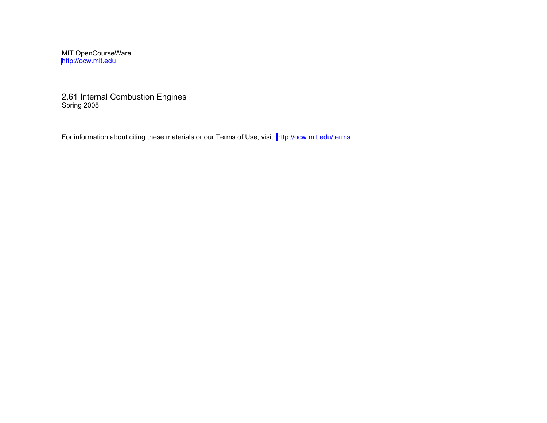MIT OpenCourseWare <http://ocw.mit.edu>

2.61 Internal Combustion Engines Spring 2008

For information about citing these materials or our Terms of Use, visit:<http://ocw.mit.edu/terms>.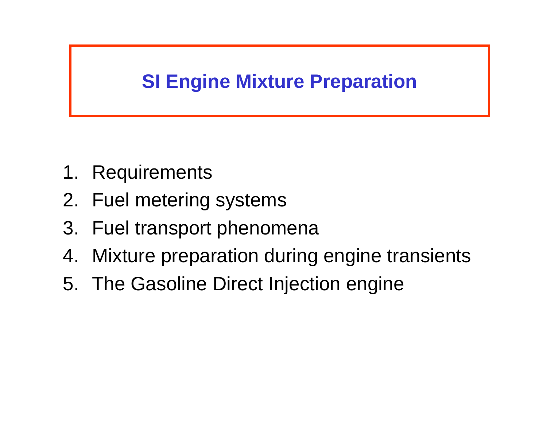# **SI Engine Mixture Preparation**

- 1. Requirements
- 2. Fuel metering systems
- 3. Fuel transport phenomena
- 4. Mixture preparation during engine transients
- 5. The Gasoline Direct Injection engine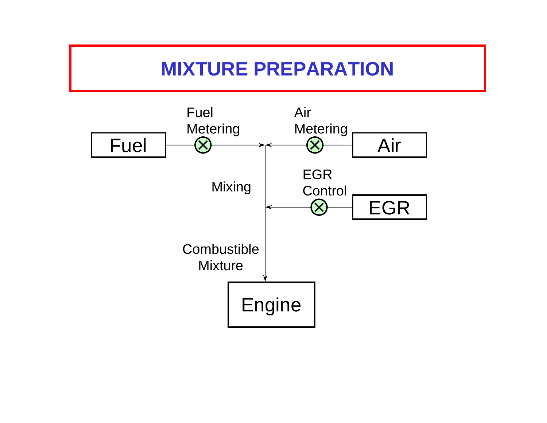# **MIXTURE PREPARATION**

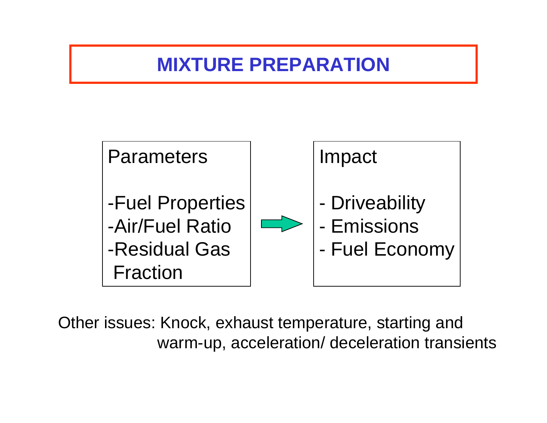## **MIXTURE PREPARATION**



Other issues: Knock, exhaust temperature, starting and warm-up, acceleration/ deceleration transients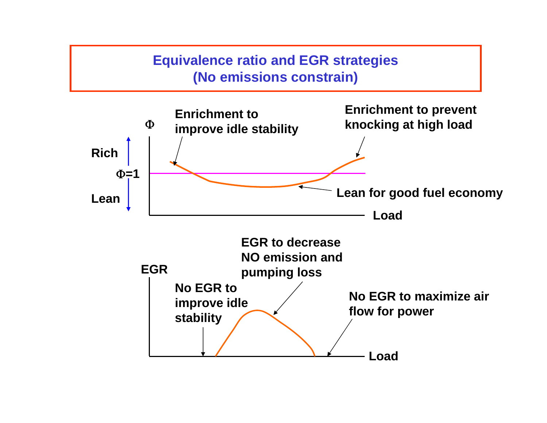#### **Equivalence ratio and EGR strategies (No emissions constrain)**

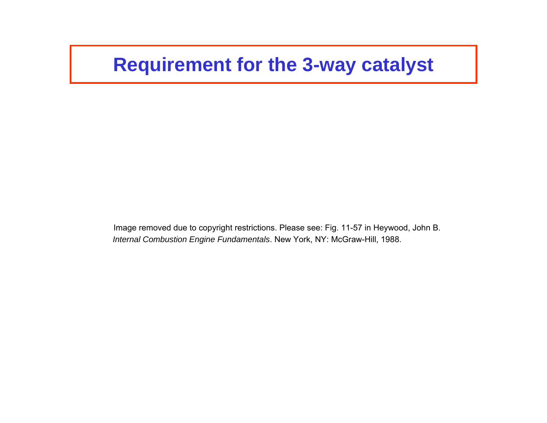### **Requirement for the 3-way catalyst**

Image removed due to copyright restrictions. Please see: Fig. 11-57 in Heywood, John B. *Internal Combustion Engine Fundamentals*. New York, NY: McGraw-Hill, 1988.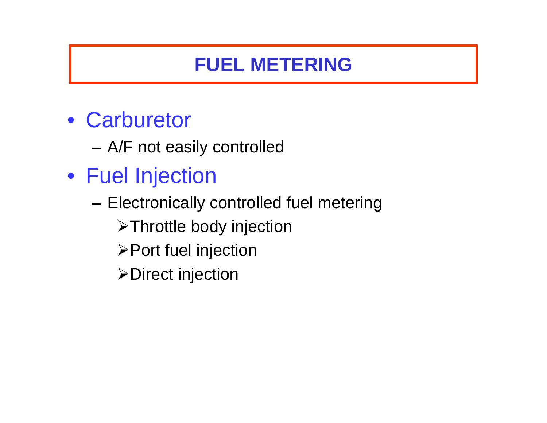# **FUEL METERING**

- Carburetor
	- A/F not easily controlled
- Fuel Injection
	- Electronically controlled fuel metering
		- ¾Throttle body injection
		- ¾Port fuel injection
		- ¾Direct injection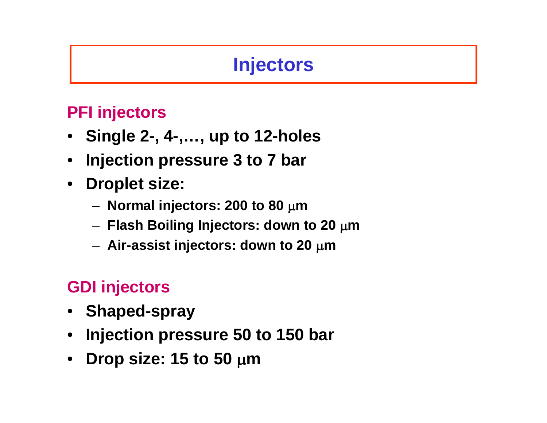# **Injectors**

### **PFI injectors**

- **Single 2-, 4-,…, up to 12-holes**
- **Injection pressure 3 to 7 bar**
- **Droplet size:** 
	- **Normal injectors: 200 to 80** μ**<sup>m</sup>**
	- **Flash Boiling Injectors: down to 20** μ**<sup>m</sup>**
	- **Air-assist injectors: down to 20** μ**<sup>m</sup>**

### **GDI injectors**

- **Shaped-spray**
- **Injection pressure 50 to 150 bar**
- **Drop size: 15 to 50** μ**<sup>m</sup>**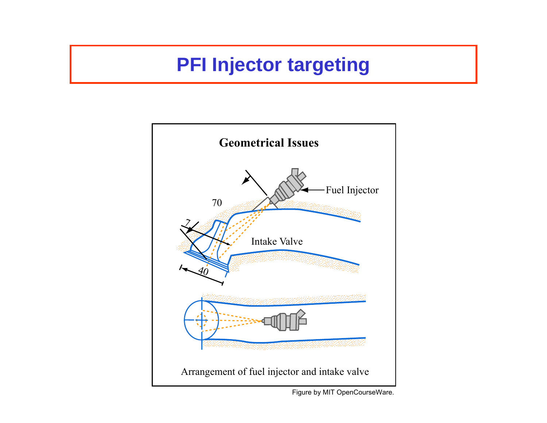# **PFI Injector targeting**

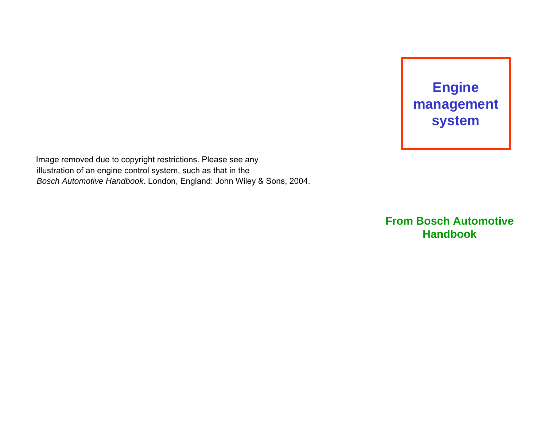

Image removed due to copyright restrictions. Please see any illustration of an engine control system, such as that in the *Bosch Automotive Handbook*. London, England: John Wiley & Sons, 2004.

> **From Bosch Automotive Handbook**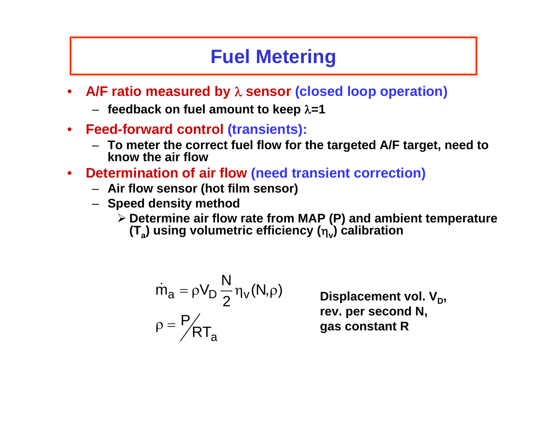# **Fuel Metering**

- **A/F ratio measured by** λ **sensor (closed loop operation)** 
	- **feedback on fuel amount to keep** λ**=1**
- **Feed-forward control (transients):** 
	- **To meter the correct fuel flow for the targeted A/F target, need to know the air flow**
- **Determination of air flow (need transient correction)** 
	- **Air flow sensor (hot film sensor)**
	- **Speed density method** 
		- ¾ **Determine air flow rate from MAP (P) and ambient temperature**
			- **(T<sub>a</sub>) using volumetric efficiency (η) calibration**

$$
\begin{aligned} \dot{m}_a &= \rho V_D \frac{N}{2} \eta_v(N,\rho) \\ \rho &= \frac{P}{R} T_a \end{aligned}
$$

Displacement vol. V<sub>D</sub>, **rev. per second N, gas constant R**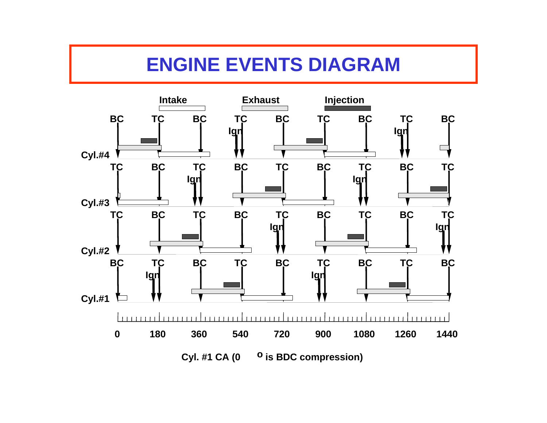# **ENGINE EVENTS DIAGRAM**

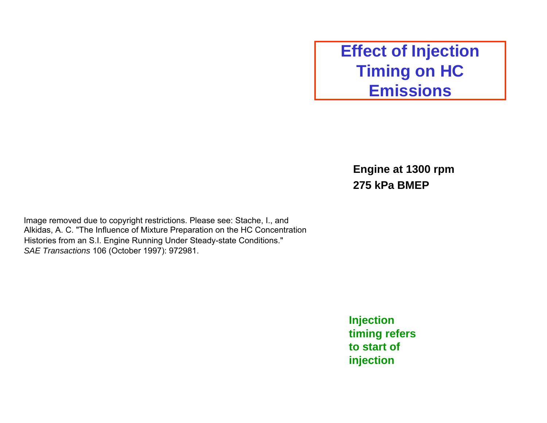### **Effect of Injection Timing on HC Emissions**

**Engine at 1300 rpm 275 kPa BMEP** 

Image removed due to copyright restrictions. Please see: Stache, I., and Alkidas, A. C. "The Influence of Mixture Preparation on the HC Concentration Histories from an S.I. Engine Running Under Steady-state Conditions." *SAE Transactions* 106 (October 1997): 972981.

> **Injection timing refers to start of injection**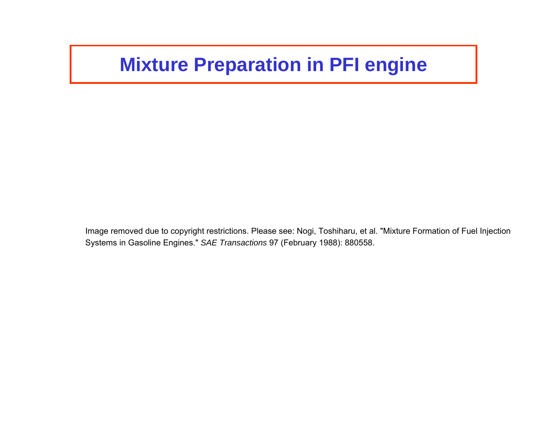# **Mixture Preparation in PFI engine**

Image removed due to copyright restrictions. Please see: Nogi, Toshiharu, et al. "Mixture Formation of Fuel Injection Systems in Gasoline Engines." *SAE Transactions* 97 (February 1988): 880558.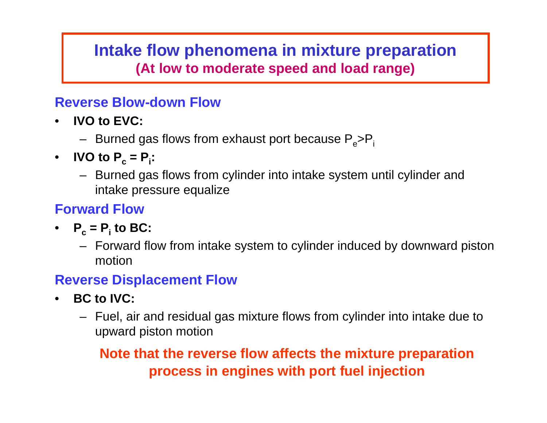#### **Intake flow phenomena in mixture preparation (At low to moderate speed and load range)**

#### **Reverse Blow-down Flow**

- • **IVO to EVC:** 
	- Burned gas flows from exhaust port because P<sub>e</sub>>P<sub>i</sub>
- $\bullet$ • **IVO to**  $P_c = P_i$ **:** 
	- Burned gas flows from cylinder into intake system until cylinder and intake pressure equalize

#### **Forward Flow**

- $P_c = P_i$  to BC:
	- Forward flow from intake system to cylinder induced by downward piston motion

#### **Reverse Displacement Flow**

- $\bullet$  **BC to IVC:** 
	- Fuel, air and residual gas mixture flows from cylinder into intake due to upward piston motion

#### **Note that the reverse flow affects the mixture preparation process in engines with port fuel injection**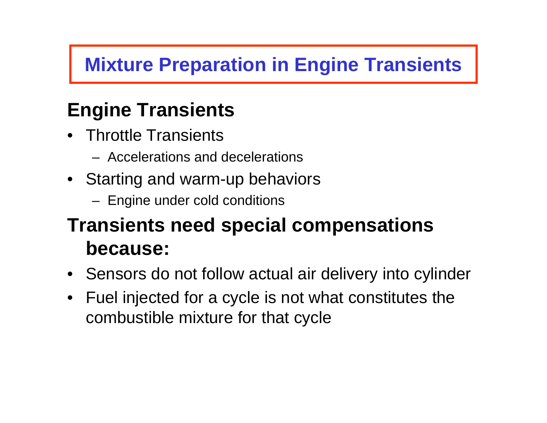# **Mixture Preparation in Engine Transients**

# **Engine Transients**

- •Throttle Transients
	- –Accelerations and decelerations
- Starting and warm-up behaviors
	- Engine under cold conditions

# **Transients need special compensations because:**

- Sensors do not follow actual air delivery into cylinder
- $\bullet$ Fuel injected for a cycle is not what constitutes the combustible mixture for that cycle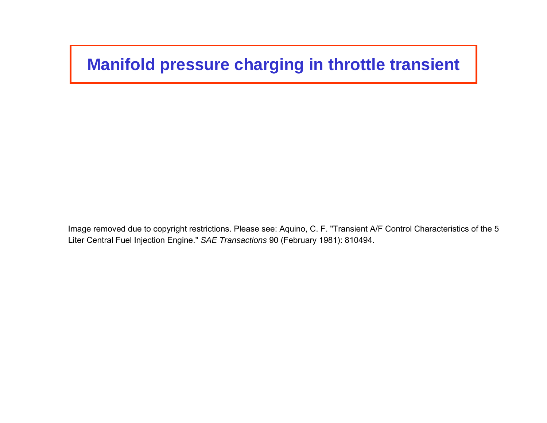### **Manifold pressure charging in throttle transient**

Image removed due to copyright restrictions. Please see: Aquino, C. F. "Transient A/F Control Characteristics of the 5 Liter Central Fuel Injection Engine." *SAE Transactions* 90 (February 1981): 810494.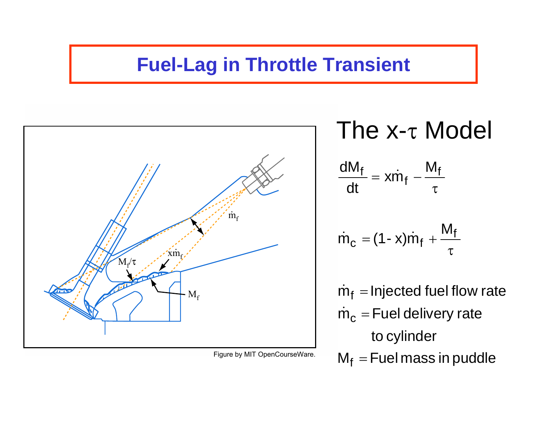## **Fuel-Lag in Throttle Transient**



Figure by MIT OpenCourseWare.

The x-<sup>τ</sup> Model  $\frac{\mathsf{dM}_\mathsf{f}}{\mathsf{d}t} = \mathsf{x} \dot{\mathsf{m}}_\mathsf{f} \mathsf{M}_{\mathsf{f}}$ dt τ $\dot{\mathsf{m}}_{\mathsf{c}}$ = (1 - x)m̀<sub>f</sub> +  $\mathsf{M}_{\mathsf{f}}$ τ $\dot{m}_f$  = Injected fuel flow rate  $\dot{\mathsf{m}}_{\mathsf{c}}$  $=$  Fuel delivery rate to cylinder

 $M_f$  = Fuel mass in puddle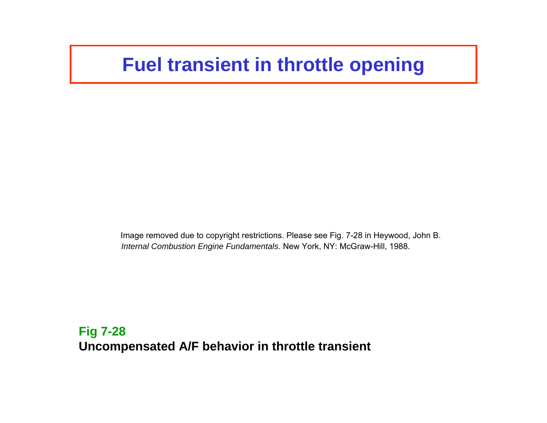### **Fuel transient in throttle opening**

Image removed due to copyright restrictions. Please see Fig. 7-28 in Heywood, John B. *Internal Combustion Engine Fundamentals*. New York, NY: McGraw-Hill, 1988.

**Fig 7-28 Uncompensated A/F behavior in throttle transient**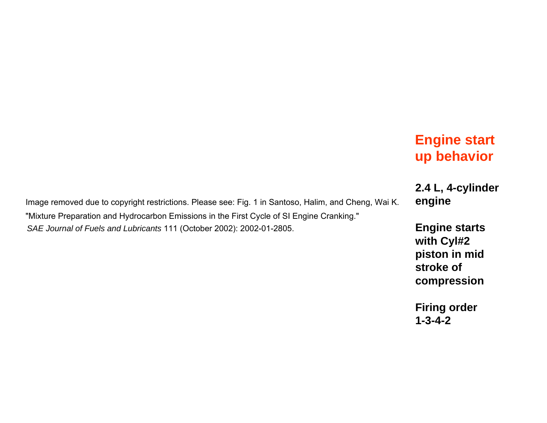#### **Engine start up behavior**

**2.4 L, 4-cylinder** 

**with Cyl#2 piston in mid stroke of compression** 

**Firing order 1-3-4-2** 

Image removed due to copyright restrictions. Please see: Fig. 1 in Santoso, Halim, and Cheng, Wai K. **engine**  "Mixture Preparation and Hydrocarbon Emissions in the First Cycle of SI Engine Cranking." SAE Journal of Fuels and Lubricants 111 (October 2002): 2002-01-2805. **Engine starts**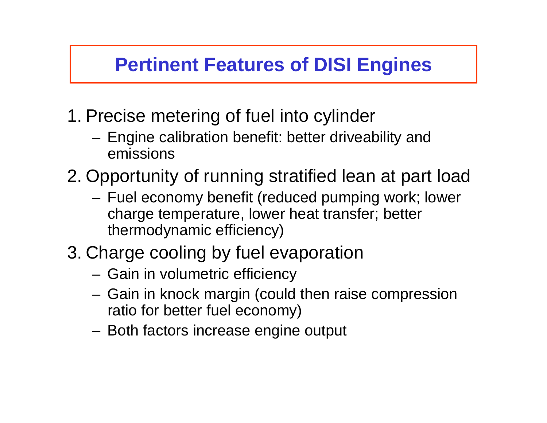# **Pertinent Features of DISI Engines**

- 1. Precise metering of fuel into cylinder
	- Engine calibration benefit: better driveability and emissions
- 2. Opportunity of running stratified lean at part load
	- Fuel economy benefit (reduced pumping work; lower charge temperature, lower heat transfer; better thermodynamic efficiency)
- 3. Charge cooling by fuel evaporation
	- Gain in volumetric efficiency
	- Gain in knock margin (could then raise compression ratio for better fuel economy)
	- Both factors increase engine output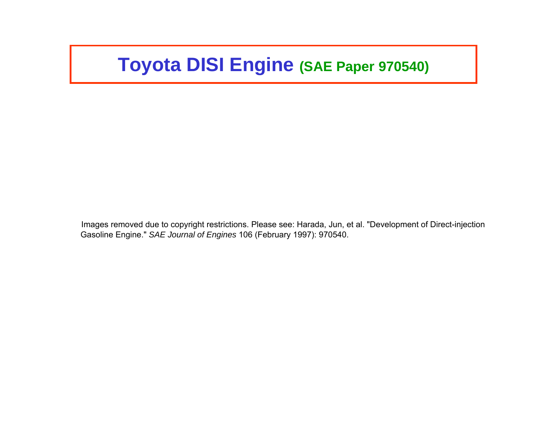## **Toyota DISI Engine (SAE Paper 970540)**

Images removed due to copyright restrictions. Please see: Harada, Jun, et al. "Development of Direct-injection Gasoline Engine." *SAE Journal of Engines* 106 (February 1997): 970540.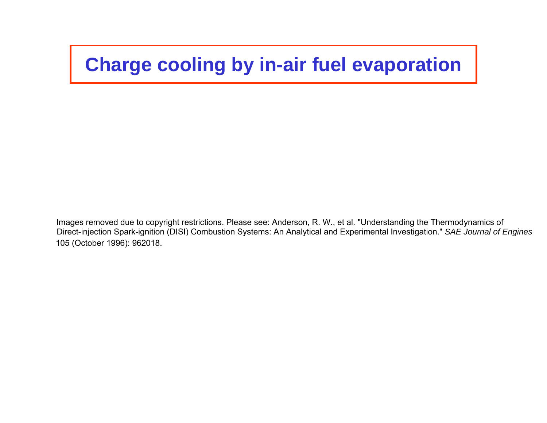# **Charge cooling by in-air fuel evaporation**

Images removed due to copyright restrictions. Please see: Anderson, R. W., et al. "Understanding the Thermodynamics of Direct-injection Spark-ignition (DISI) Combustion Systems: An Analytical and Experimental Investigation." *SAE Journal of Engines* 105 (October 1996): 962018.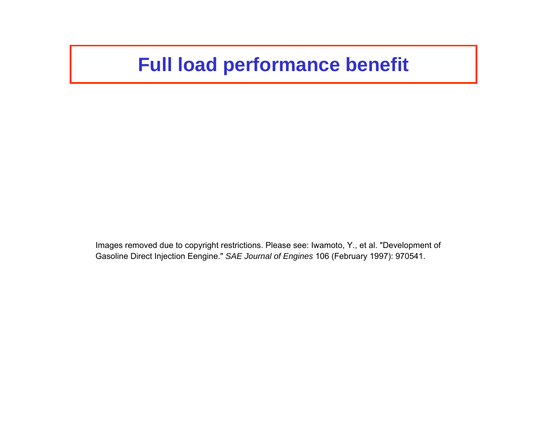### **Full load performance benefit**

Images removed due to copyright restrictions. Please see: Iwamoto, Y., et al. "Development of Gasoline Direct Injection Eengine." *SAE Journal of Engines* 106 (February 1997): 970541.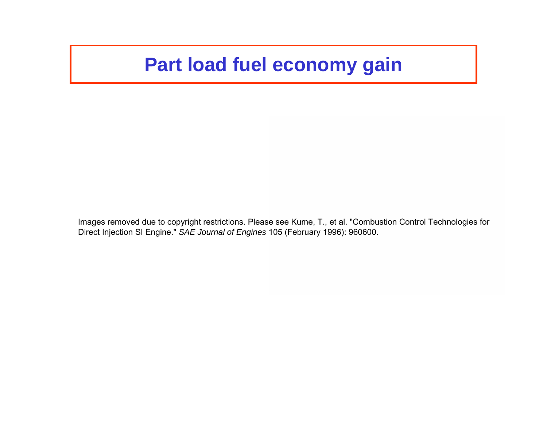## **Part load fuel economy gain**

Images removed due to copyright restrictions. Please see Kume, T., et al. "Combustion Control Technologies for Direct Injection SI Engine." *SAE Journal of Engines* 105 (February 1996): 960600.